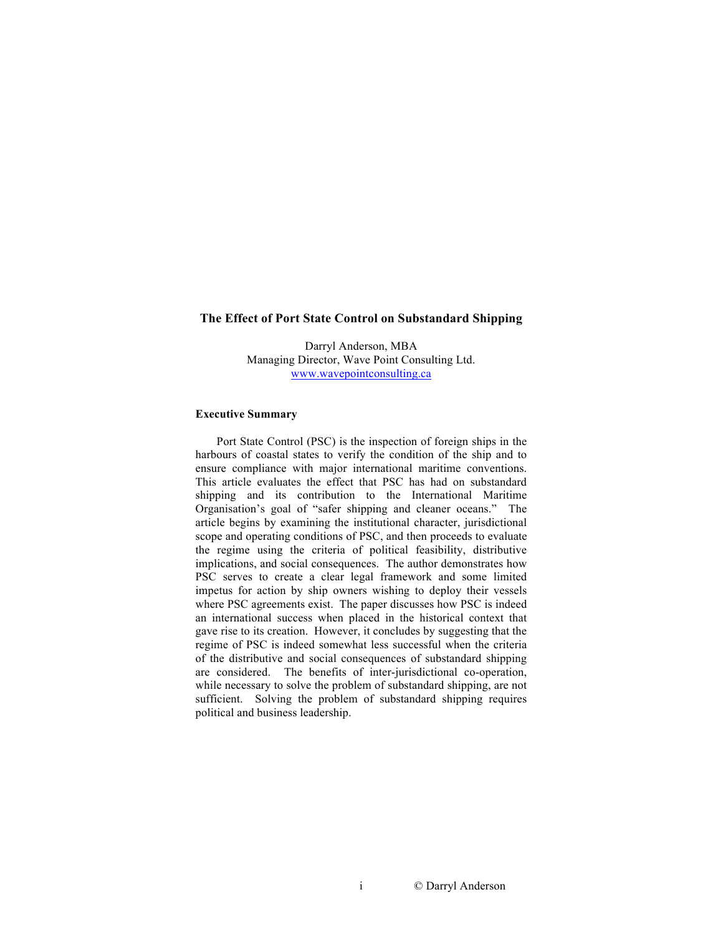### **The Effect of Port State Control on Substandard Shipping**

Darryl Anderson, MBA Managing Director, Wave Point Consulting Ltd. www.wavepointconsulting.ca

#### **Executive Summary**

Port State Control (PSC) is the inspection of foreign ships in the harbours of coastal states to verify the condition of the ship and to ensure compliance with major international maritime conventions. This article evaluates the effect that PSC has had on substandard shipping and its contribution to the International Maritime Organisation's goal of "safer shipping and cleaner oceans." The article begins by examining the institutional character, jurisdictional scope and operating conditions of PSC, and then proceeds to evaluate the regime using the criteria of political feasibility, distributive implications, and social consequences. The author demonstrates how PSC serves to create a clear legal framework and some limited impetus for action by ship owners wishing to deploy their vessels where PSC agreements exist. The paper discusses how PSC is indeed an international success when placed in the historical context that gave rise to its creation. However, it concludes by suggesting that the regime of PSC is indeed somewhat less successful when the criteria of the distributive and social consequences of substandard shipping are considered. The benefits of inter-jurisdictional co-operation, while necessary to solve the problem of substandard shipping, are not sufficient. Solving the problem of substandard shipping requires political and business leadership.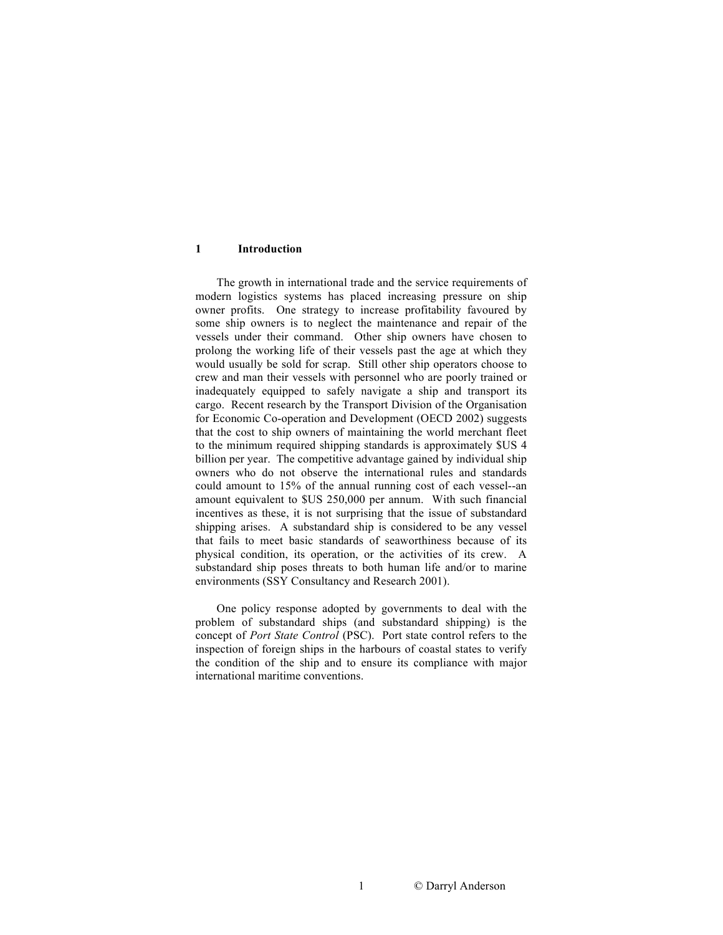#### **1 Introduction**

The growth in international trade and the service requirements of modern logistics systems has placed increasing pressure on ship owner profits. One strategy to increase profitability favoured by some ship owners is to neglect the maintenance and repair of the vessels under their command. Other ship owners have chosen to prolong the working life of their vessels past the age at which they would usually be sold for scrap. Still other ship operators choose to crew and man their vessels with personnel who are poorly trained or inadequately equipped to safely navigate a ship and transport its cargo. Recent research by the Transport Division of the Organisation for Economic Co-operation and Development (OECD 2002) suggests that the cost to ship owners of maintaining the world merchant fleet to the minimum required shipping standards is approximately \$US 4 billion per year. The competitive advantage gained by individual ship owners who do not observe the international rules and standards could amount to 15% of the annual running cost of each vessel--an amount equivalent to \$US 250,000 per annum. With such financial incentives as these, it is not surprising that the issue of substandard shipping arises. A substandard ship is considered to be any vessel that fails to meet basic standards of seaworthiness because of its physical condition, its operation, or the activities of its crew. A substandard ship poses threats to both human life and/or to marine environments (SSY Consultancy and Research 2001).

One policy response adopted by governments to deal with the problem of substandard ships (and substandard shipping) is the concept of *Port State Control* (PSC). Port state control refers to the inspection of foreign ships in the harbours of coastal states to verify the condition of the ship and to ensure its compliance with major international maritime conventions.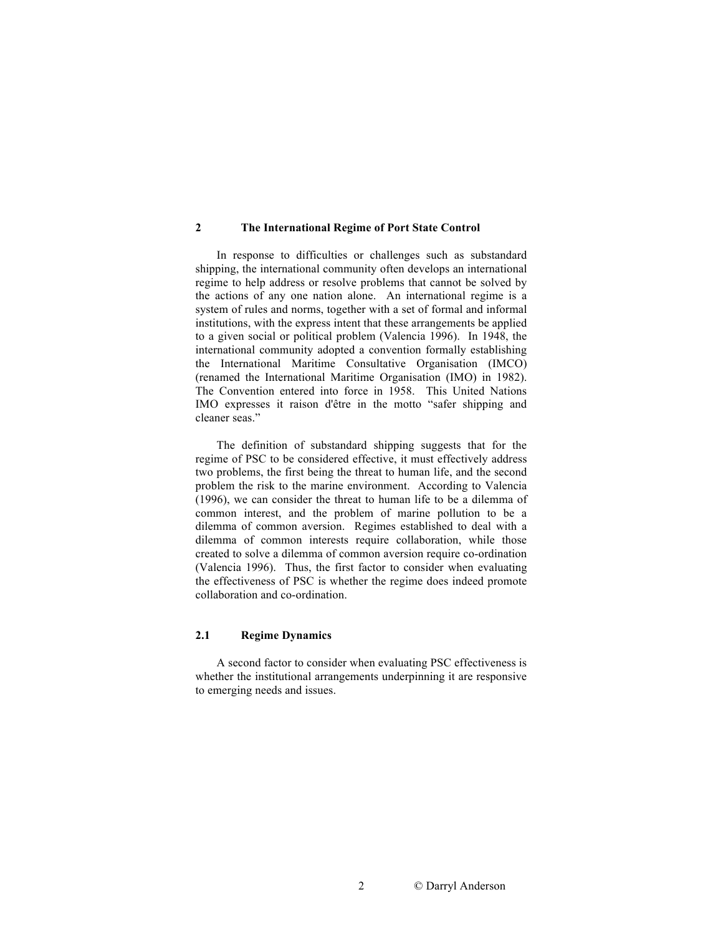### **2 The International Regime of Port State Control**

In response to difficulties or challenges such as substandard shipping, the international community often develops an international regime to help address or resolve problems that cannot be solved by the actions of any one nation alone. An international regime is a system of rules and norms, together with a set of formal and informal institutions, with the express intent that these arrangements be applied to a given social or political problem (Valencia 1996). In 1948, the international community adopted a convention formally establishing the International Maritime Consultative Organisation (IMCO) (renamed the International Maritime Organisation (IMO) in 1982). The Convention entered into force in 1958. This United Nations IMO expresses it raison d'être in the motto "safer shipping and cleaner seas."

The definition of substandard shipping suggests that for the regime of PSC to be considered effective, it must effectively address two problems, the first being the threat to human life, and the second problem the risk to the marine environment. According to Valencia (1996), we can consider the threat to human life to be a dilemma of common interest, and the problem of marine pollution to be a dilemma of common aversion. Regimes established to deal with a dilemma of common interests require collaboration, while those created to solve a dilemma of common aversion require co-ordination (Valencia 1996). Thus, the first factor to consider when evaluating the effectiveness of PSC is whether the regime does indeed promote collaboration and co-ordination.

### **2.1 Regime Dynamics**

A second factor to consider when evaluating PSC effectiveness is whether the institutional arrangements underpinning it are responsive to emerging needs and issues.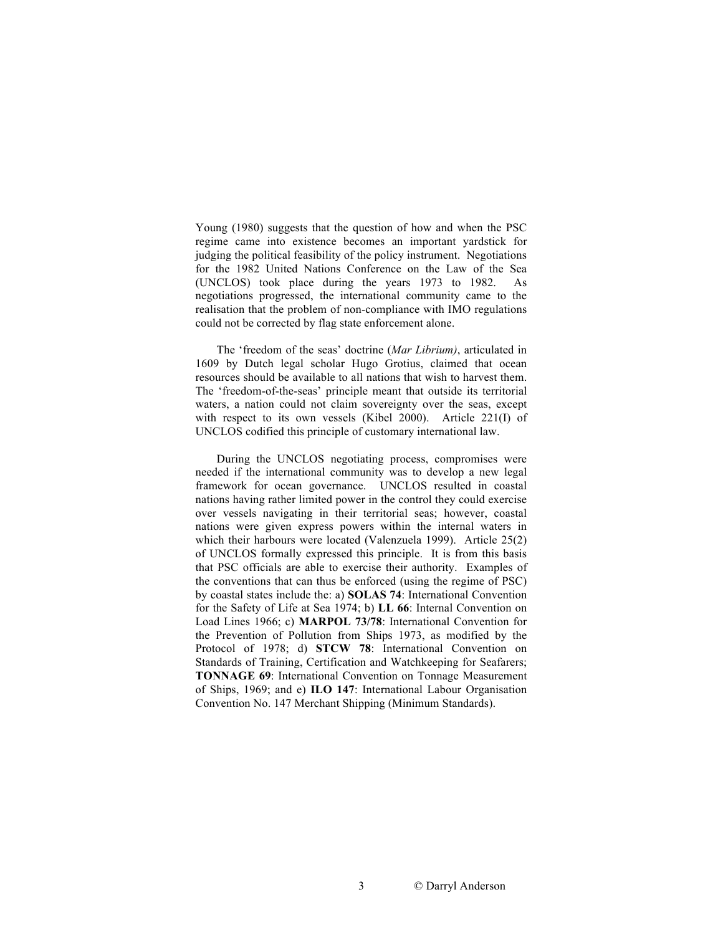Young (1980) suggests that the question of how and when the PSC regime came into existence becomes an important yardstick for judging the political feasibility of the policy instrument. Negotiations for the 1982 United Nations Conference on the Law of the Sea (UNCLOS) took place during the years 1973 to 1982. As negotiations progressed, the international community came to the realisation that the problem of non-compliance with IMO regulations could not be corrected by flag state enforcement alone.

The 'freedom of the seas' doctrine (*Mar Librium)*, articulated in 1609 by Dutch legal scholar Hugo Grotius, claimed that ocean resources should be available to all nations that wish to harvest them. The 'freedom-of-the-seas' principle meant that outside its territorial waters, a nation could not claim sovereignty over the seas, except with respect to its own vessels (Kibel 2000). Article 221(I) of UNCLOS codified this principle of customary international law.

During the UNCLOS negotiating process, compromises were needed if the international community was to develop a new legal framework for ocean governance. UNCLOS resulted in coastal nations having rather limited power in the control they could exercise over vessels navigating in their territorial seas; however, coastal nations were given express powers within the internal waters in which their harbours were located (Valenzuela 1999). Article 25(2) of UNCLOS formally expressed this principle. It is from this basis that PSC officials are able to exercise their authority. Examples of the conventions that can thus be enforced (using the regime of PSC) by coastal states include the: a) **SOLAS 74**: International Convention for the Safety of Life at Sea 1974; b) **LL 66**: Internal Convention on Load Lines 1966; c) **MARPOL 73/78**: International Convention for the Prevention of Pollution from Ships 1973, as modified by the Protocol of 1978; d) **STCW 78**: International Convention on Standards of Training, Certification and Watchkeeping for Seafarers; **TONNAGE 69**: International Convention on Tonnage Measurement of Ships, 1969; and e) **ILO 147**: International Labour Organisation Convention No. 147 Merchant Shipping (Minimum Standards).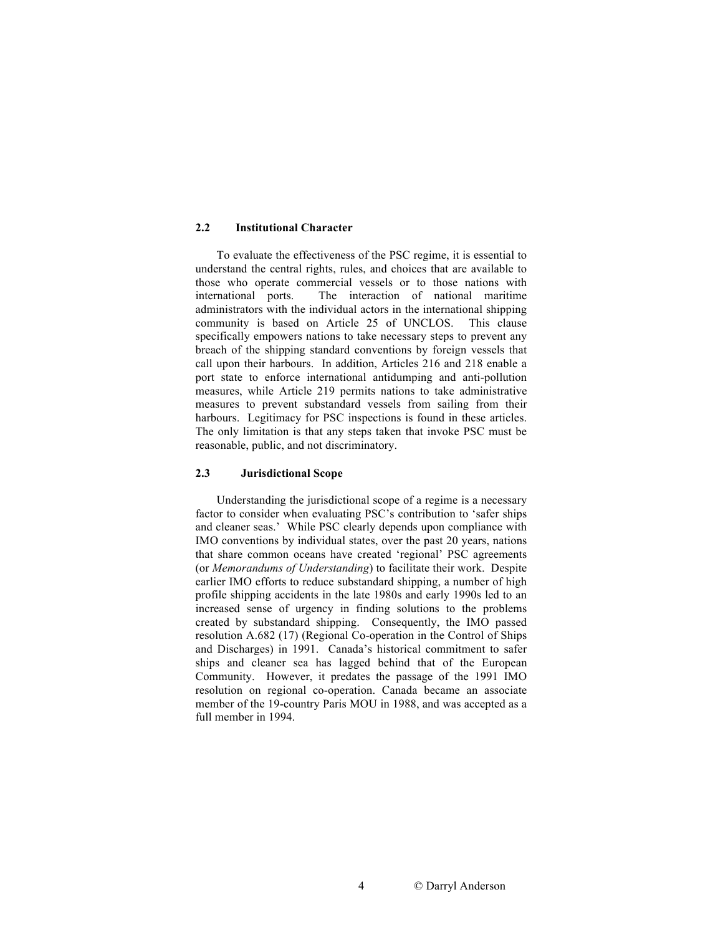## **2.2 Institutional Character**

To evaluate the effectiveness of the PSC regime, it is essential to understand the central rights, rules, and choices that are available to those who operate commercial vessels or to those nations with international ports. The interaction of national maritime administrators with the individual actors in the international shipping community is based on Article 25 of UNCLOS. This clause specifically empowers nations to take necessary steps to prevent any breach of the shipping standard conventions by foreign vessels that call upon their harbours. In addition, Articles 216 and 218 enable a port state to enforce international antidumping and anti-pollution measures, while Article 219 permits nations to take administrative measures to prevent substandard vessels from sailing from their harbours. Legitimacy for PSC inspections is found in these articles. The only limitation is that any steps taken that invoke PSC must be reasonable, public, and not discriminatory.

## **2.3 Jurisdictional Scope**

Understanding the jurisdictional scope of a regime is a necessary factor to consider when evaluating PSC's contribution to 'safer ships and cleaner seas.' While PSC clearly depends upon compliance with IMO conventions by individual states, over the past 20 years, nations that share common oceans have created 'regional' PSC agreements (or *Memorandums of Understanding*) to facilitate their work. Despite earlier IMO efforts to reduce substandard shipping, a number of high profile shipping accidents in the late 1980s and early 1990s led to an increased sense of urgency in finding solutions to the problems created by substandard shipping. Consequently, the IMO passed resolution A.682 (17) (Regional Co-operation in the Control of Ships and Discharges) in 1991. Canada's historical commitment to safer ships and cleaner sea has lagged behind that of the European Community. However, it predates the passage of the 1991 IMO resolution on regional co-operation. Canada became an associate member of the 19-country Paris MOU in 1988, and was accepted as a full member in 1994.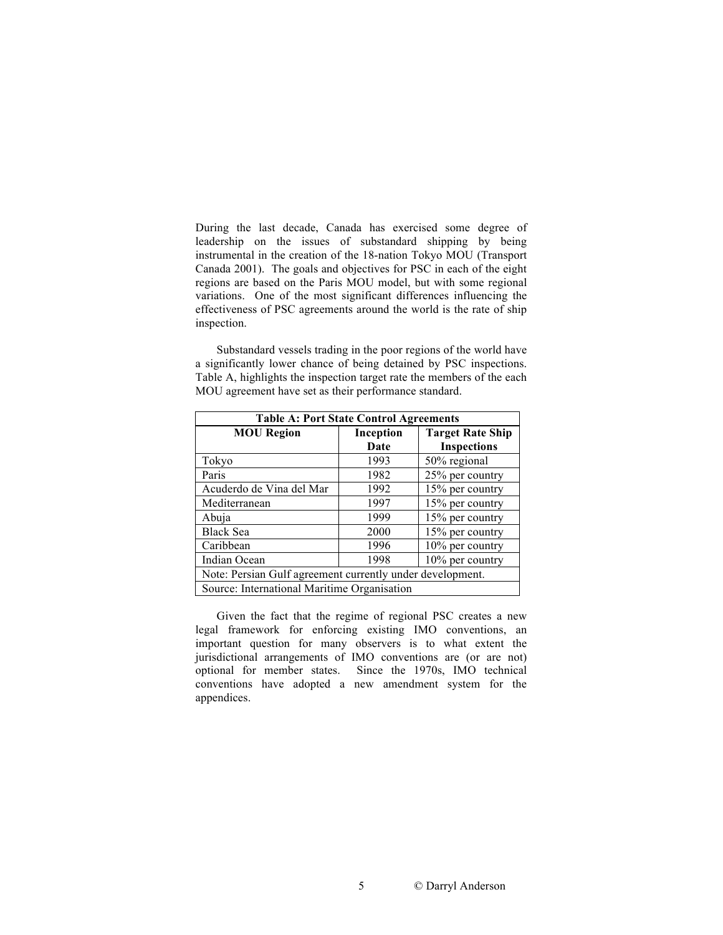During the last decade, Canada has exercised some degree of leadership on the issues of substandard shipping by being instrumental in the creation of the 18-nation Tokyo MOU (Transport Canada 2001). The goals and objectives for PSC in each of the eight regions are based on the Paris MOU model, but with some regional variations. One of the most significant differences influencing the effectiveness of PSC agreements around the world is the rate of ship inspection.

Substandard vessels trading in the poor regions of the world have a significantly lower chance of being detained by PSC inspections. Table A, highlights the inspection target rate the members of the each MOU agreement have set as their performance standard.

| <b>Table A: Port State Control Agreements</b>             |           |                         |  |  |
|-----------------------------------------------------------|-----------|-------------------------|--|--|
| <b>MOU Region</b>                                         | Inception | <b>Target Rate Ship</b> |  |  |
|                                                           | Date      | <b>Inspections</b>      |  |  |
| Tokyo                                                     | 1993      | 50% regional            |  |  |
| Paris                                                     | 1982      | 25% per country         |  |  |
| Acuderdo de Vina del Mar                                  | 1992      | 15% per country         |  |  |
| Mediterranean                                             | 1997      | 15% per country         |  |  |
| Abuja                                                     | 1999      | 15% per country         |  |  |
| <b>Black Sea</b>                                          | 2000      | 15% per country         |  |  |
| Caribbean                                                 | 1996      | 10% per country         |  |  |
| Indian Ocean                                              | 1998      | 10% per country         |  |  |
| Note: Persian Gulf agreement currently under development. |           |                         |  |  |
| Source: International Maritime Organisation               |           |                         |  |  |

Given the fact that the regime of regional PSC creates a new legal framework for enforcing existing IMO conventions, an important question for many observers is to what extent the jurisdictional arrangements of IMO conventions are (or are not) optional for member states.Since the 1970s, IMO technical conventions have adopted a new amendment system for the appendices.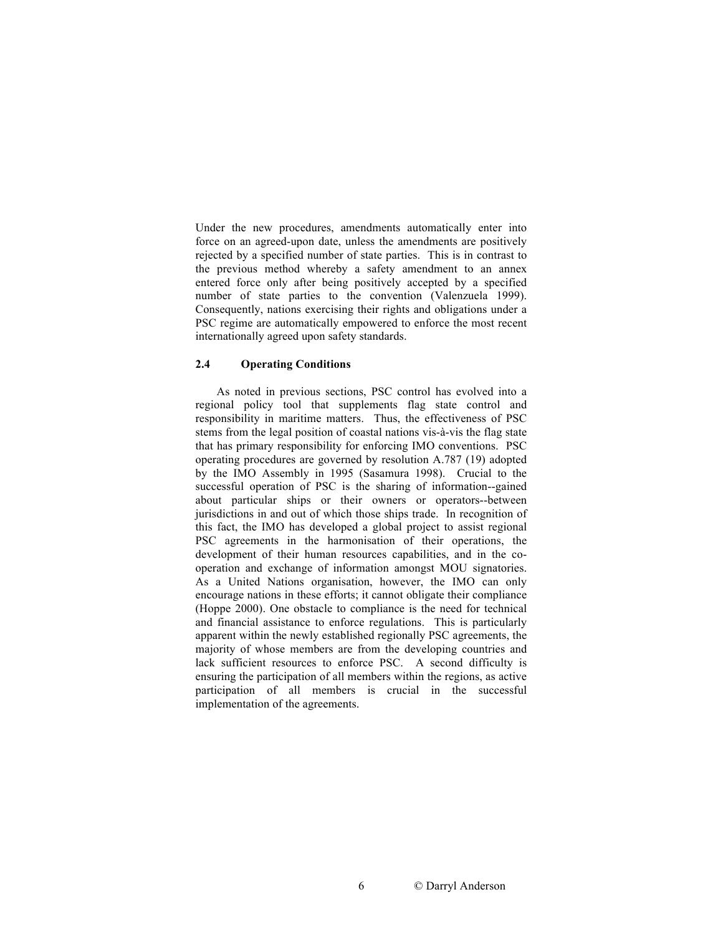Under the new procedures, amendments automatically enter into force on an agreed-upon date, unless the amendments are positively rejected by a specified number of state parties. This is in contrast to the previous method whereby a safety amendment to an annex entered force only after being positively accepted by a specified number of state parties to the convention (Valenzuela 1999). Consequently, nations exercising their rights and obligations under a PSC regime are automatically empowered to enforce the most recent internationally agreed upon safety standards.

#### **2.4 Operating Conditions**

As noted in previous sections, PSC control has evolved into a regional policy tool that supplements flag state control and responsibility in maritime matters. Thus, the effectiveness of PSC stems from the legal position of coastal nations vis-à-vis the flag state that has primary responsibility for enforcing IMO conventions. PSC operating procedures are governed by resolution A.787 (19) adopted by the IMO Assembly in 1995 (Sasamura 1998).Crucial to the successful operation of PSC is the sharing of information--gained about particular ships or their owners or operators--between jurisdictions in and out of which those ships trade. In recognition of this fact, the IMO has developed a global project to assist regional PSC agreements in the harmonisation of their operations, the development of their human resources capabilities, and in the cooperation and exchange of information amongst MOU signatories. As a United Nations organisation, however, the IMO can only encourage nations in these efforts; it cannot obligate their compliance (Hoppe 2000). One obstacle to compliance is the need for technical and financial assistance to enforce regulations. This is particularly apparent within the newly established regionally PSC agreements, the majority of whose members are from the developing countries and lack sufficient resources to enforce PSC. A second difficulty is ensuring the participation of all members within the regions, as active participation of all members is crucial in the successful implementation of the agreements.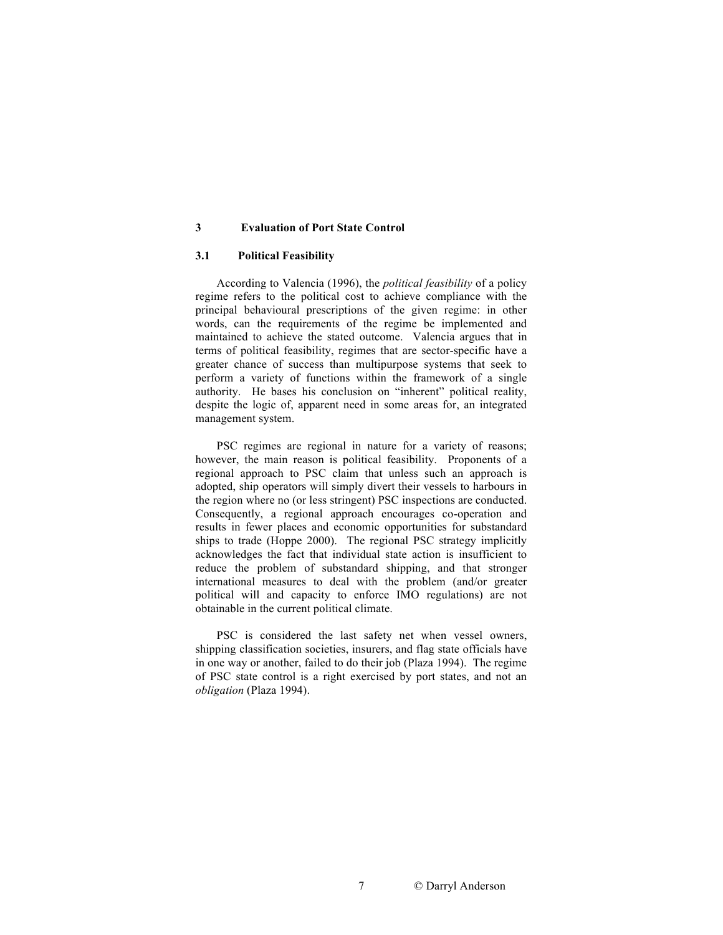### **3 Evaluation of Port State Control**

#### **3.1 Political Feasibility**

According to Valencia (1996), the *political feasibility* of a policy regime refers to the political cost to achieve compliance with the principal behavioural prescriptions of the given regime: in other words, can the requirements of the regime be implemented and maintained to achieve the stated outcome. Valencia argues that in terms of political feasibility, regimes that are sector-specific have a greater chance of success than multipurpose systems that seek to perform a variety of functions within the framework of a single authority. He bases his conclusion on "inherent" political reality, despite the logic of, apparent need in some areas for, an integrated management system.

PSC regimes are regional in nature for a variety of reasons; however, the main reason is political feasibility. Proponents of a regional approach to PSC claim that unless such an approach is adopted, ship operators will simply divert their vessels to harbours in the region where no (or less stringent) PSC inspections are conducted. Consequently, a regional approach encourages co-operation and results in fewer places and economic opportunities for substandard ships to trade (Hoppe 2000). The regional PSC strategy implicitly acknowledges the fact that individual state action is insufficient to reduce the problem of substandard shipping, and that stronger international measures to deal with the problem (and/or greater political will and capacity to enforce IMO regulations) are not obtainable in the current political climate.

PSC is considered the last safety net when vessel owners, shipping classification societies, insurers, and flag state officials have in one way or another, failed to do their job (Plaza 1994). The regime of PSC state control is a right exercised by port states, and not an *obligation* (Plaza 1994).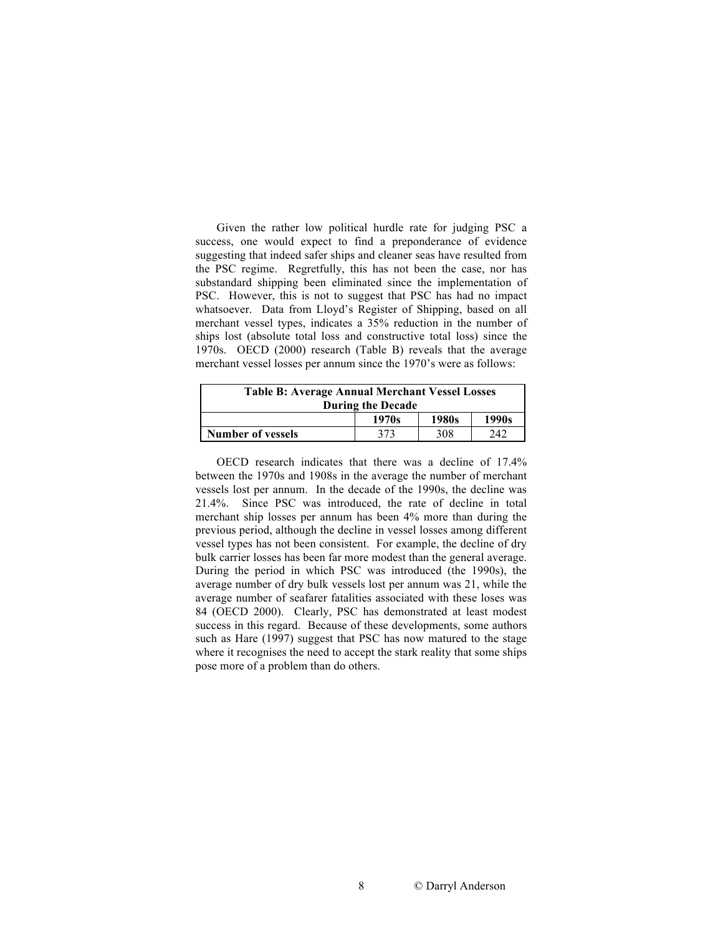Given the rather low political hurdle rate for judging PSC a success, one would expect to find a preponderance of evidence suggesting that indeed safer ships and cleaner seas have resulted from the PSC regime. Regretfully, this has not been the case, nor has substandard shipping been eliminated since the implementation of PSC. However, this is not to suggest that PSC has had no impact whatsoever. Data from Lloyd's Register of Shipping, based on all merchant vessel types, indicates a 35% reduction in the number of ships lost (absolute total loss and constructive total loss) since the 1970s. OECD (2000) research (Table B) reveals that the average merchant vessel losses per annum since the 1970's were as follows:

| <b>Table B: Average Annual Merchant Vessel Losses</b><br><b>During the Decade</b> |       |       |       |  |
|-----------------------------------------------------------------------------------|-------|-------|-------|--|
|                                                                                   | 1970s | 1980s | 1990s |  |
| <b>Number of vessels</b>                                                          | 373   | 308   | 242   |  |

OECD research indicates that there was a decline of 17.4% between the 1970s and 1908s in the average the number of merchant vessels lost per annum. In the decade of the 1990s, the decline was 21.4%. Since PSC was introduced, the rate of decline in total merchant ship losses per annum has been 4% more than during the previous period, although the decline in vessel losses among different vessel types has not been consistent. For example, the decline of dry bulk carrier losses has been far more modest than the general average. During the period in which PSC was introduced (the 1990s), the average number of dry bulk vessels lost per annum was 21, while the average number of seafarer fatalities associated with these loses was 84 (OECD 2000). Clearly, PSC has demonstrated at least modest success in this regard. Because of these developments, some authors such as Hare (1997) suggest that PSC has now matured to the stage where it recognises the need to accept the stark reality that some ships pose more of a problem than do others.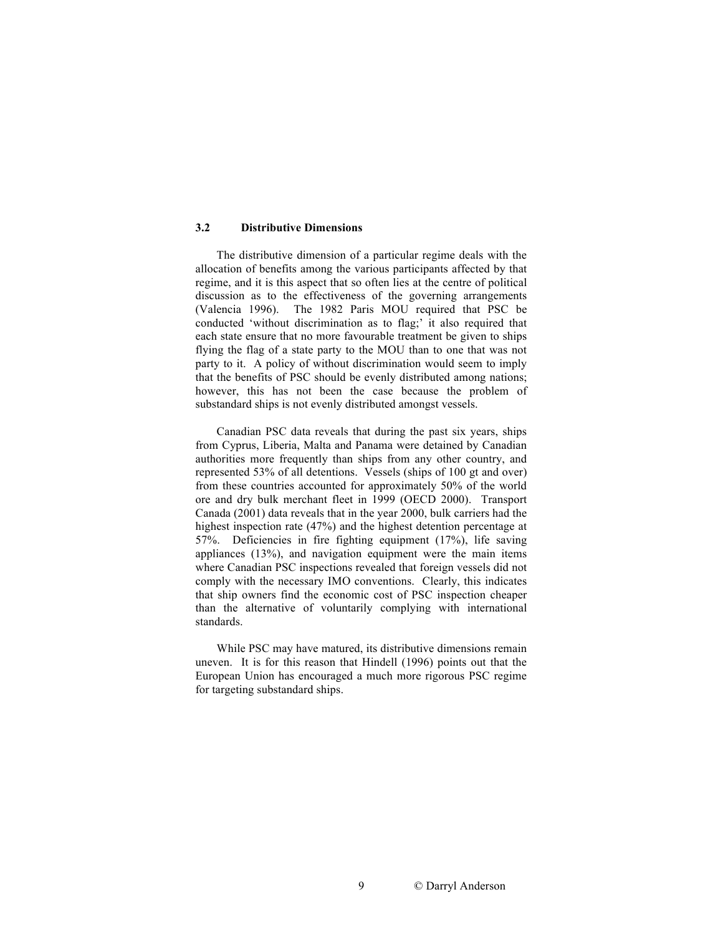### **3.2 Distributive Dimensions**

The distributive dimension of a particular regime deals with the allocation of benefits among the various participants affected by that regime, and it is this aspect that so often lies at the centre of political discussion as to the effectiveness of the governing arrangements (Valencia 1996). The 1982 Paris MOU required that PSC be conducted 'without discrimination as to flag;' it also required that each state ensure that no more favourable treatment be given to ships flying the flag of a state party to the MOU than to one that was not party to it. A policy of without discrimination would seem to imply that the benefits of PSC should be evenly distributed among nations; however, this has not been the case because the problem of substandard ships is not evenly distributed amongst vessels.

Canadian PSC data reveals that during the past six years, ships from Cyprus, Liberia, Malta and Panama were detained by Canadian authorities more frequently than ships from any other country, and represented 53% of all detentions. Vessels (ships of 100 gt and over) from these countries accounted for approximately 50% of the world ore and dry bulk merchant fleet in 1999 (OECD 2000). Transport Canada (2001) data reveals that in the year 2000, bulk carriers had the highest inspection rate (47%) and the highest detention percentage at 57%. Deficiencies in fire fighting equipment (17%), life saving appliances (13%), and navigation equipment were the main items where Canadian PSC inspections revealed that foreign vessels did not comply with the necessary IMO conventions. Clearly, this indicates that ship owners find the economic cost of PSC inspection cheaper than the alternative of voluntarily complying with international standards.

While PSC may have matured, its distributive dimensions remain uneven. It is for this reason that Hindell (1996) points out that the European Union has encouraged a much more rigorous PSC regime for targeting substandard ships.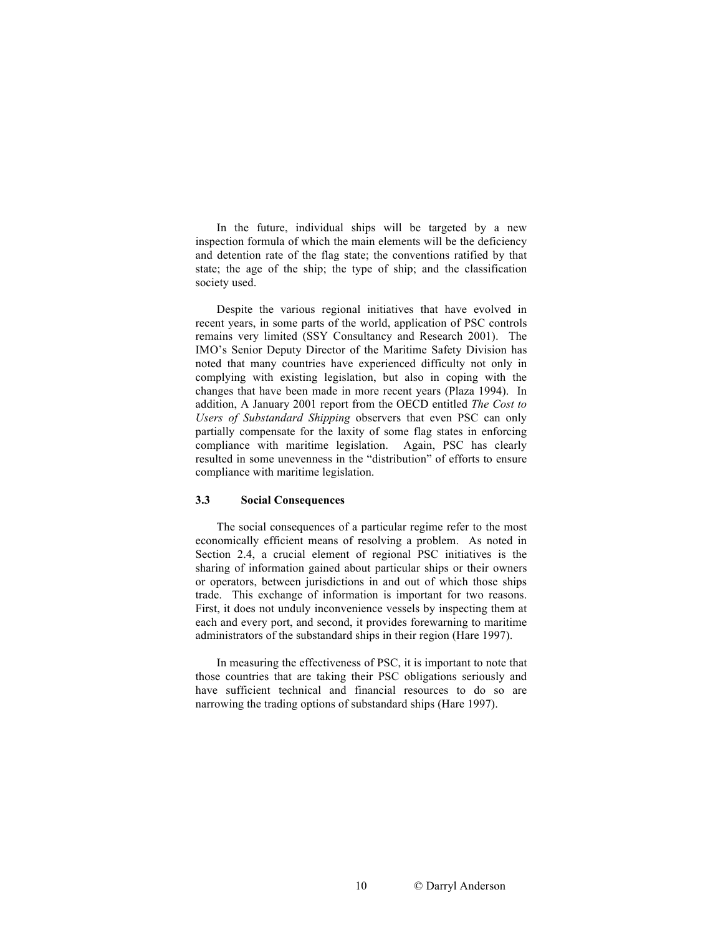In the future, individual ships will be targeted by a new inspection formula of which the main elements will be the deficiency and detention rate of the flag state; the conventions ratified by that state; the age of the ship; the type of ship; and the classification society used.

Despite the various regional initiatives that have evolved in recent years, in some parts of the world, application of PSC controls remains very limited (SSY Consultancy and Research 2001). The IMO's Senior Deputy Director of the Maritime Safety Division has noted that many countries have experienced difficulty not only in complying with existing legislation, but also in coping with the changes that have been made in more recent years (Plaza 1994). In addition, A January 2001 report from the OECD entitled *The Cost to Users of Substandard Shipping* observers that even PSC can only partially compensate for the laxity of some flag states in enforcing compliance with maritime legislation. Again, PSC has clearly resulted in some unevenness in the "distribution" of efforts to ensure compliance with maritime legislation.

## **3.3 Social Consequences**

The social consequences of a particular regime refer to the most economically efficient means of resolving a problem. As noted in Section 2.4, a crucial element of regional PSC initiatives is the sharing of information gained about particular ships or their owners or operators, between jurisdictions in and out of which those ships trade. This exchange of information is important for two reasons. First, it does not unduly inconvenience vessels by inspecting them at each and every port, and second, it provides forewarning to maritime administrators of the substandard ships in their region (Hare 1997).

In measuring the effectiveness of PSC, it is important to note that those countries that are taking their PSC obligations seriously and have sufficient technical and financial resources to do so are narrowing the trading options of substandard ships (Hare 1997).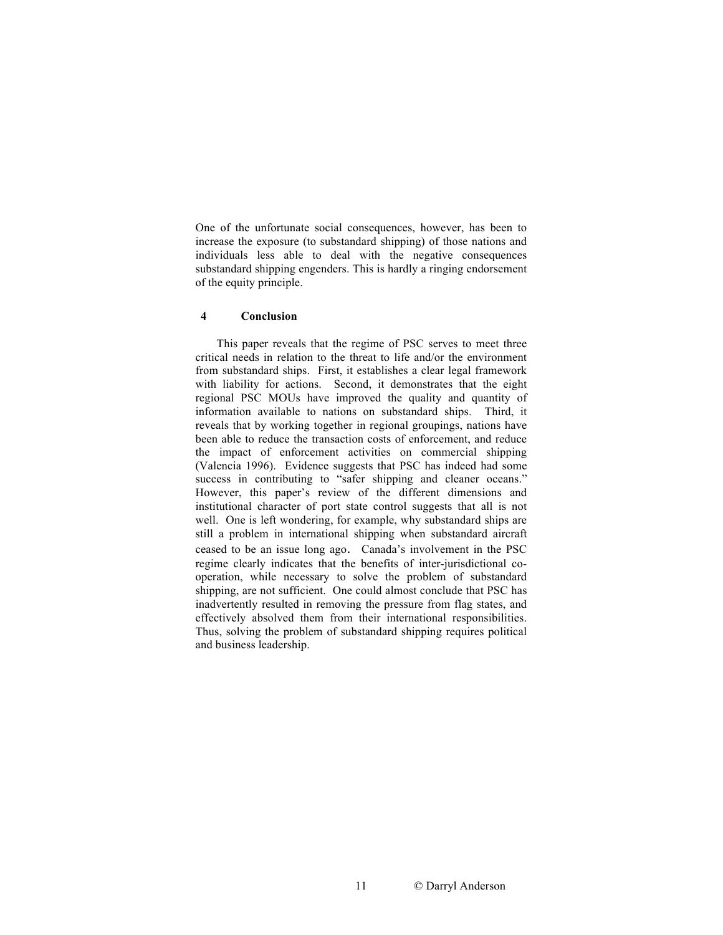One of the unfortunate social consequences, however, has been to increase the exposure (to substandard shipping) of those nations and individuals less able to deal with the negative consequences substandard shipping engenders. This is hardly a ringing endorsement of the equity principle.

#### **4 Conclusion**

This paper reveals that the regime of PSC serves to meet three critical needs in relation to the threat to life and/or the environment from substandard ships. First, it establishes a clear legal framework with liability for actions. Second, it demonstrates that the eight regional PSC MOUs have improved the quality and quantity of information available to nations on substandard ships. Third, it reveals that by working together in regional groupings, nations have been able to reduce the transaction costs of enforcement, and reduce the impact of enforcement activities on commercial shipping (Valencia 1996). Evidence suggests that PSC has indeed had some success in contributing to "safer shipping and cleaner oceans." However, this paper's review of the different dimensions and institutional character of port state control suggests that all is not well. One is left wondering, for example, why substandard ships are still a problem in international shipping when substandard aircraft ceased to be an issue long ago. Canada's involvement in the PSC regime clearly indicates that the benefits of inter-jurisdictional cooperation, while necessary to solve the problem of substandard shipping, are not sufficient. One could almost conclude that PSC has inadvertently resulted in removing the pressure from flag states, and effectively absolved them from their international responsibilities. Thus, solving the problem of substandard shipping requires political and business leadership.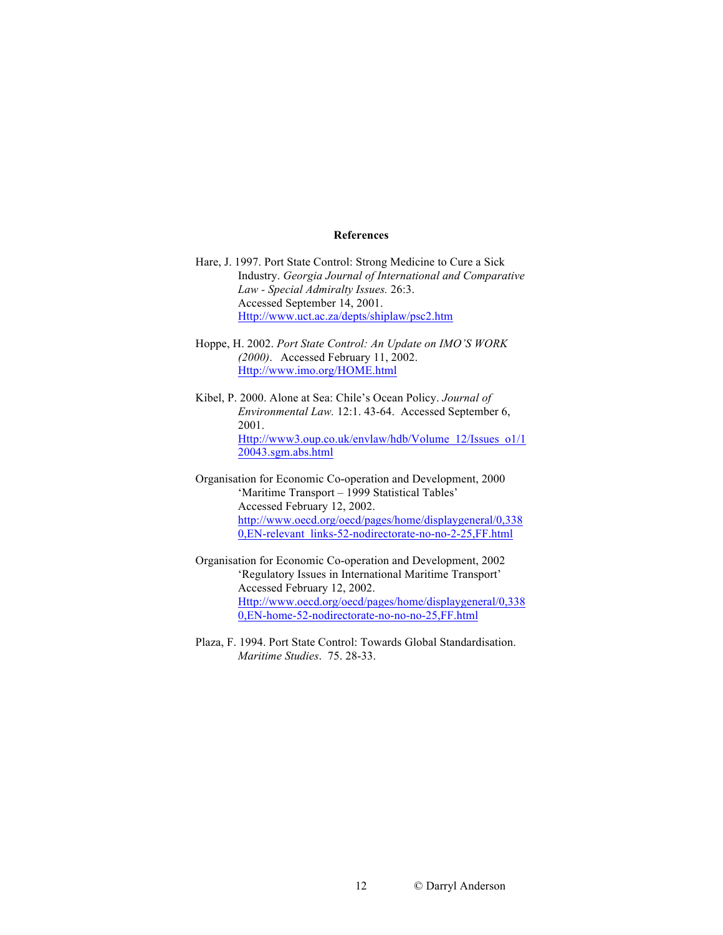## **References**

- Hare, J. 1997. Port State Control: Strong Medicine to Cure a Sick Industry. *Georgia Journal of International and Comparative Law - Special Admiralty Issues.* 26:3. Accessed September 14, 2001. Http://www.uct.ac.za/depts/shiplaw/psc2.htm
- Hoppe, H. 2002. *Port State Control: An Update on IMO'S WORK (2000)*. Accessed February 11, 2002. Http://www.imo.org/HOME.html
- Kibel, P. 2000. Alone at Sea: Chile's Ocean Policy. *Journal of Environmental Law.* 12:1. 43-64. Accessed September 6, 2001. Http://www3.oup.co.uk/envlaw/hdb/Volume\_12/Issues\_o1/1 20043.sgm.abs.html
- Organisation for Economic Co-operation and Development, 2000 'Maritime Transport – 1999 Statistical Tables' Accessed February 12, 2002. http://www.oecd.org/oecd/pages/home/displaygeneral/0,338 0,EN-relevant\_links-52-nodirectorate-no-no-2-25,FF.html
- Organisation for Economic Co-operation and Development, 2002 'Regulatory Issues in International Maritime Transport' Accessed February 12, 2002. Http://www.oecd.org/oecd/pages/home/displaygeneral/0,338 0,EN-home-52-nodirectorate-no-no-no-25,FF.html
- Plaza, F. 1994. Port State Control: Towards Global Standardisation. *Maritime Studies*. 75. 28-33.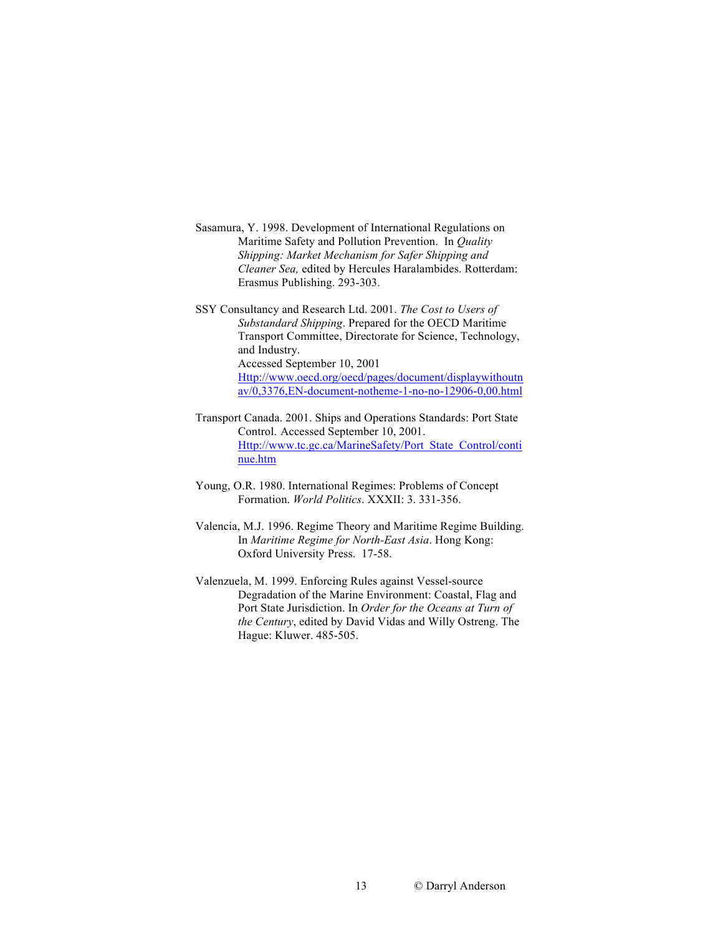- Sasamura, Y. 1998. Development of International Regulations on Maritime Safety and Pollution Prevention. In *Quality Shipping: Market Mechanism for Safer Shipping and Cleaner Sea,* edited by Hercules Haralambides. Rotterdam: Erasmus Publishing. 293-303.
- SSY Consultancy and Research Ltd. 2001. *The Cost to Users of Substandard Shipping*. Prepared for the OECD Maritime Transport Committee, Directorate for Science, Technology, and Industry. Accessed September 10, 2001 Http://www.oecd.org/oecd/pages/document/displaywithoutn av/0,3376,EN-document-notheme-1-no-no-12906-0,00.html
- Transport Canada. 2001. Ships and Operations Standards: Port State Control. Accessed September 10, 2001. Http://www.tc.gc.ca/MarineSafety/Port\_State\_Control/conti nue.htm
- Young, O.R. 1980. International Regimes: Problems of Concept Formation. *World Politics*. XXXII: 3. 331-356.
- Valencia, M.J. 1996. Regime Theory and Maritime Regime Building. In *Maritime Regime for North-East Asia*. Hong Kong: Oxford University Press. 17-58.
- Valenzuela, M. 1999. Enforcing Rules against Vessel-source Degradation of the Marine Environment: Coastal, Flag and Port State Jurisdiction. In *Order for the Oceans at Turn of the Century*, edited by David Vidas and Willy Ostreng. The Hague: Kluwer. 485-505.